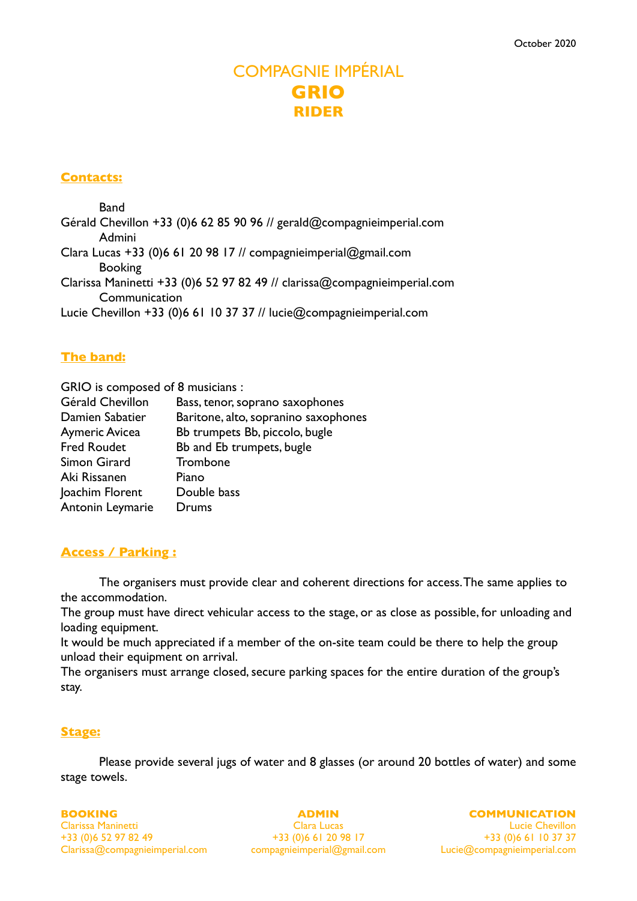# COMPAGNIE IMPÉRIAL **GRIO RIDER**

## **Contacts:**

Band Gérald Chevillon +33 (0)6 62 85 90 96 // gerald@compagnieimperial.com Admini Clara Lucas +33 (0)6 61 20 98 17 // compagnieimperial@gmail.com Booking Clarissa Maninetti +33 (0)6 52 97 82 49 // clarissa@compagnieimperial.com **Communication** Lucie Chevillon +33 (0)6 61 10 37 37 // lucie@compagnieimperial.com

# **The band:**

GRIO is composed of 8 musicians : Gérald Chevillon Bass, tenor, soprano saxophones Damien Sabatier Baritone, alto, sopranino saxophones Aymeric Avicea Bb trumpets Bb, piccolo, bugle Fred Roudet Bb and Eb trumpets, bugle Simon Girard Trombone Aki Rissanen Piano Joachim Florent Double bass Antonin Leymarie Drums

# **Access / Parking :**

The organisers must provide clear and coherent directions for access. The same applies to the accommodation.

The group must have direct vehicular access to the stage, or as close as possible, for unloading and loading equipment.

It would be much appreciated if a member of the on-site team could be there to help the group unload their equipment on arrival.

The organisers must arrange closed, secure parking spaces for the entire duration of the group's stay.

# **Stage:**

Please provide several jugs of water and 8 glasses (or around 20 bottles of water) and some stage towels.

#### **BOOKING**

Clarissa Maninetti +33 (0)6 52 97 82 49 Clarissa@compagnieimperial.com **ADMIN**

Clara Lucas +33 (0)6 61 20 98 17 compagnieimperial@gmail.com **COMMUNICATION**

Lucie Chevillon +33 (0)6 61 10 37 37 Lucie@compagnieimperial.com